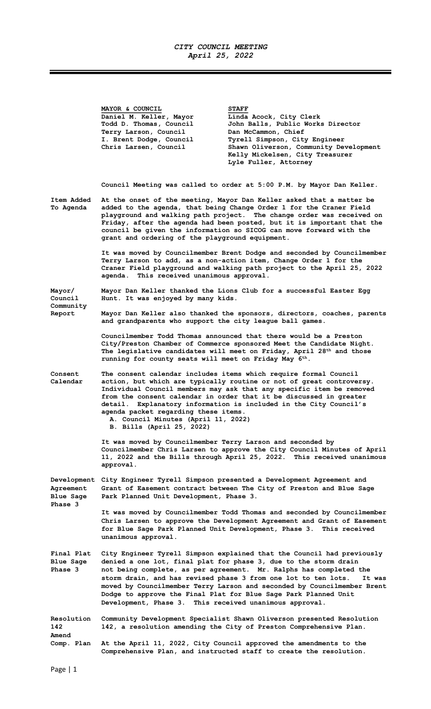## CITY COUNCIL MEETING April 25, 2022

Ξ

|                                                         | MAYOR & COUNCIL<br>Daniel M. Keller, Mayor<br>Todd D. Thomas, Council<br>Terry Larson, Council<br>I. Brent Dodge, Council<br>Chris Larsen, Council                                                                                                                                                                                                                                                                       | <b>STAFF</b><br>Linda Acock, City Clerk<br>John Balls, Public Works Director<br>Dan McCammon, Chief<br>Tyrell Simpson, City Engineer<br>Shawn Oliverson, Community Development<br>Kelly Mickelsen, City Treasurer<br>Lyle Fuller, Attorney                                                                                                                                                                                                 |  |
|---------------------------------------------------------|--------------------------------------------------------------------------------------------------------------------------------------------------------------------------------------------------------------------------------------------------------------------------------------------------------------------------------------------------------------------------------------------------------------------------|--------------------------------------------------------------------------------------------------------------------------------------------------------------------------------------------------------------------------------------------------------------------------------------------------------------------------------------------------------------------------------------------------------------------------------------------|--|
|                                                         |                                                                                                                                                                                                                                                                                                                                                                                                                          | Council Meeting was called to order at 5:00 P.M. by Mayor Dan Keller.                                                                                                                                                                                                                                                                                                                                                                      |  |
| Item Added<br>To Agenda                                 | At the onset of the meeting, Mayor Dan Keller asked that a matter be<br>added to the agenda, that being Change Order 1 for the Craner Field<br>playground and walking path project. The change order was received on<br>Friday, after the agenda had been posted, but it is important that the<br>council be given the information so SICOG can move forward with the<br>grant and ordering of the playground equipment. |                                                                                                                                                                                                                                                                                                                                                                                                                                            |  |
|                                                         | It was moved by Councilmember Brent Dodge and seconded by Councilmember<br>Terry Larson to add, as a non-action item, Change Order 1 for the<br>Craner Field playground and walking path project to the April 25, 2022<br>agenda. This received unanimous approval.                                                                                                                                                      |                                                                                                                                                                                                                                                                                                                                                                                                                                            |  |
| Mayor/<br>Council                                       | Mayor Dan Keller thanked the Lions Club for a successful Easter Egg<br>Hunt. It was enjoyed by many kids.                                                                                                                                                                                                                                                                                                                |                                                                                                                                                                                                                                                                                                                                                                                                                                            |  |
| Community<br>Report                                     | Mayor Dan Keller also thanked the sponsors, directors, coaches, parents<br>and grandparents who support the city league ball games.                                                                                                                                                                                                                                                                                      |                                                                                                                                                                                                                                                                                                                                                                                                                                            |  |
|                                                         | running for county seats will meet on Friday May 6 <sup>th</sup> .                                                                                                                                                                                                                                                                                                                                                       | Councilmember Todd Thomas announced that there would be a Preston<br>City/Preston Chamber of Commerce sponsored Meet the Candidate Night.<br>The legislative candidates will meet on Friday, April 28 <sup>th</sup> and those                                                                                                                                                                                                              |  |
| Consent<br>Calendar                                     | detail.<br>agenda packet regarding these items.<br>A. Council Minutes (April 11, 2022)<br>B. Bills (April 25, 2022)                                                                                                                                                                                                                                                                                                      | The consent calendar includes items which require formal Council<br>action, but which are typically routine or not of great controversy.<br>Individual Council members may ask that any specific item be removed<br>from the consent calendar in order that it be discussed in greater<br>Explanatory information is included in the City Council's                                                                                        |  |
|                                                         | It was moved by Councilmember Terry Larson and seconded by<br>approval.                                                                                                                                                                                                                                                                                                                                                  | Councilmember Chris Larsen to approve the City Council Minutes of April<br>11, 2022 and the Bills through April 25, 2022. This received unanimous                                                                                                                                                                                                                                                                                          |  |
| Development<br>Agreement<br><b>Blue Sage</b><br>Phase 3 | Park Planned Unit Development, Phase 3.                                                                                                                                                                                                                                                                                                                                                                                  | City Engineer Tyrell Simpson presented a Development Agreement and<br>Grant of Easement contract between The City of Preston and Blue Sage                                                                                                                                                                                                                                                                                                 |  |
|                                                         | unanimous approval.                                                                                                                                                                                                                                                                                                                                                                                                      | It was moved by Councilmember Todd Thomas and seconded by Councilmember<br>Chris Larsen to approve the Development Agreement and Grant of Easement<br>for Blue Sage Park Planned Unit Development, Phase 3. This received                                                                                                                                                                                                                  |  |
| Final Plat<br><b>Blue Sage</b><br>Phase 3               | Development, Phase 3. This received unanimous approval.                                                                                                                                                                                                                                                                                                                                                                  | City Engineer Tyrell Simpson explained that the Council had previously<br>denied a one lot, final plat for phase 3, due to the storm drain<br>not being complete, as per agreement. Mr. Ralphs has completed the<br>storm drain, and has revised phase 3 from one lot to ten lots.<br>It was<br>moved by Councilmember Terry Larson and seconded by Councilmember Brent<br>Dodge to approve the Final Plat for Blue Sage Park Planned Unit |  |
| <b>Resolution</b><br>142<br>Amend                       |                                                                                                                                                                                                                                                                                                                                                                                                                          | Community Development Specialist Shawn Oliverson presented Resolution<br>142, a resolution amending the City of Preston Comprehensive Plan.                                                                                                                                                                                                                                                                                                |  |
| Comp. Plan                                              |                                                                                                                                                                                                                                                                                                                                                                                                                          | At the April 11, 2022, City Council approved the amendments to the<br>Comprehensive Plan, and instructed staff to create the resolution.                                                                                                                                                                                                                                                                                                   |  |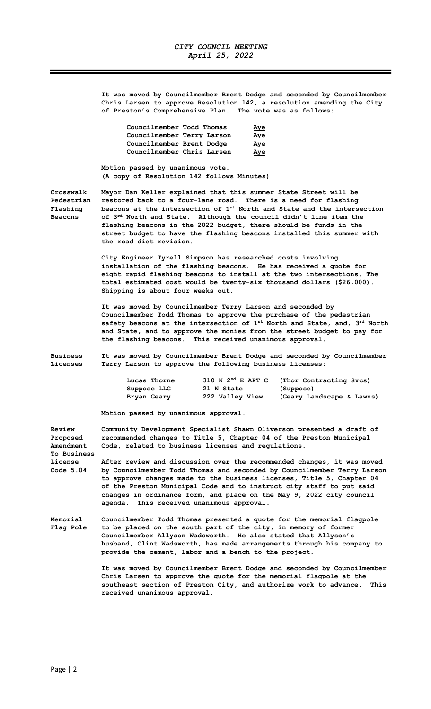It was moved by Councilmember Brent Dodge and seconded by Councilmember Chris Larsen to approve Resolution 142, a resolution amending the City of Preston's Comprehensive Plan. The vote was as follows:

| Councilmember Todd Thomas  | Aye        |
|----------------------------|------------|
| Councilmember Terry Larson | <u>Aye</u> |
| Councilmember Brent Dodge  | Aye        |
| Councilmember Chris Larsen | Aye        |

Motion passed by unanimous vote. (A copy of Resolution 142 follows Minutes)

Crosswalk Mayor Dan Keller explained that this summer State Street will be Pedestrian restored back to a four-lane road. There is a need for flashing Flashing beacons at the intersection of  $1^{st}$  North and State and the intersection Beacons of  $3^{rd}$  North and State. Although the council didn't line item the flashing beacons in the 2022 budget, there should be funds in the street budget to have the flashing beacons installed this summer with the road diet revision.

> City Engineer Tyrell Simpson has researched costs involving installation of the flashing beacons. He has received a quote for eight rapid flashing beacons to install at the two intersections. The total estimated cost would be twenty-six thousand dollars (\$26,000). Shipping is about four weeks out.

 It was moved by Councilmember Terry Larson and seconded by Councilmember Todd Thomas to approve the purchase of the pedestrian safety beacons at the intersection of  $1^{st}$  North and State, and,  $3^{rd}$  North and State, and to approve the monies from the street budget to pay for the flashing beacons. This received unanimous approval.

Business It was moved by Councilmember Brent Dodge and seconded by Councilmember Licenses Terry Larson to approve the following business licenses:

| Lucas Thorne | $310$ N $2^{nd}$ E APT C | (Thor Contracting Svcs)   |
|--------------|--------------------------|---------------------------|
| Suppose LLC  | 21 N State               | (Suppose)                 |
| Bryan Geary  | 222 Valley View          | (Geary Landscape & Lawns) |

Motion passed by unanimous approval.

Review Community Development Specialist Shawn Oliverson presented a draft of<br>Proposed recommended changes to Title 5, Chapter 04 of the Preston Municipal recommended changes to Title 5, Chapter 04 of the Preston Municipal Amendment Code, related to business licenses and regulations. To Business License 1995 After review and discussion over the recommended changes, it was moved<br>Code 5.04 by Councilmember Todd Thomas and seconded by Councilmember Terry Larson by Councilmember Todd Thomas and seconded by Councilmember Terry Larson to approve changes made to the business licenses, Title 5, Chapter 04 of the Preston Municipal Code and to instruct city staff to put said changes in ordinance form, and place on the May 9, 2022 city council agenda. This received unanimous approval. Memorial Councilmember Todd Thomas presented a quote for the memorial flagpole

Flag Pole to be placed on the south part of the city, in memory of former Councilmember Allyson Wadsworth. He also stated that Allyson's husband, Clint Wadsworth, has made arrangements through his company to provide the cement, labor and a bench to the project.

> It was moved by Councilmember Brent Dodge and seconded by Councilmember Chris Larsen to approve the quote for the memorial flagpole at the southeast section of Preston City, and authorize work to advance. This received unanimous approval.